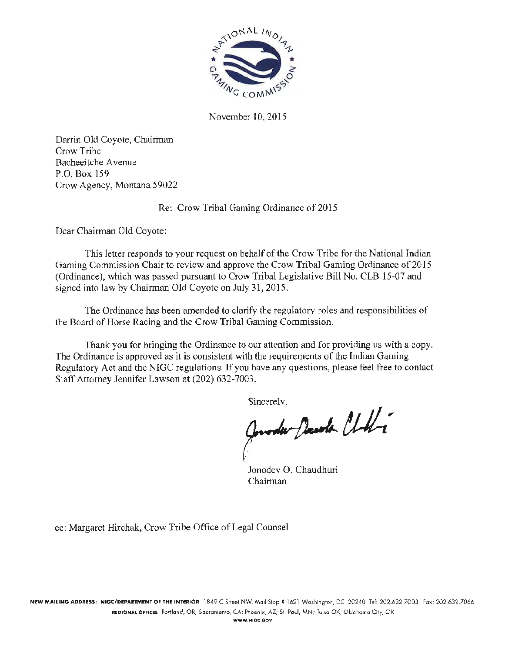

November 10, 2015

Darrin Old Coyote, Chairman Crow Tribe Bacheeitche A venue P.O. Box 159 Crow Agency, Montana 59022

Re: Crow Tribal Gaming Ordinance of 2015

Dear Chairman Old Coyote:

This letter responds to your request on behalf of the Crow Tribe for the National Indian Gaming Commission Chair to review and approve the Crow Tribal Gaming Ordinance of 2015 (Ordinance), which was passed pursuant to Crow Tribal Legislative Bill No. CLB 15-07 and signed into law by Chairman Old Coyote on July 31, 2015.

The Ordinance has been amended to clarify the regulatory roles and responsibilities of the Board of Horse Racing and the Crow Tribal Gaming Commission.

Thank you for bringing the Ordinance to our attention and for providing us with a copy. The Ordinance is approved as it is consistent with the requirements of the Indian Gaming Regulatory Act and the NIGC regulations. If you have any questions, please feel free to contact Staff Attorney Jennifer Lawson at (202) 632-7003.

Sincerelv.<br>Govordar Presola Chali

Jonodev 0. Chaudhuri Chairman

cc: Margaret Hirchak, Crow Tribe Office of Legal Counsel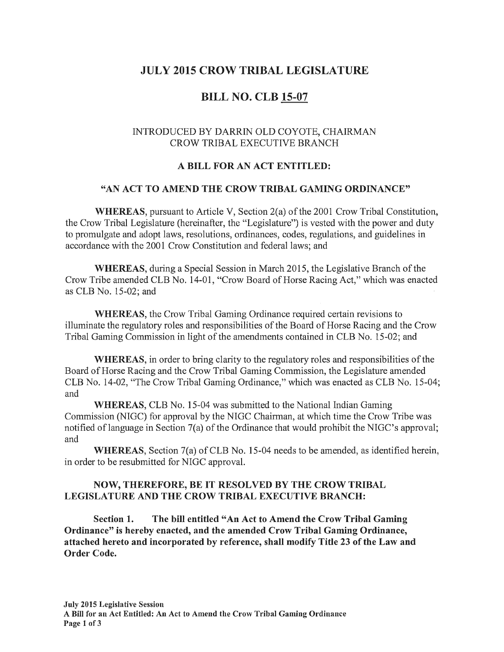# JULY 2015 CROW TRIBAL LEGISLATURE

# BILL NO. CLB 15-07

# INTRODUCED BY DARRIN OLD COYOTE, CHAIRMAN CROW TRIBAL EXECUTIVE BRANCH

#### A BILL FOR AN ACT ENTITLED:

#### "AN ACT TO AMEND THE CROW TRIBAL GAMING ORDINANCE"

WHEREAS, pursuant to Article V, Section 2(a) of the 2001 Crow Tribal Constitution, the Crow Tribal Legislature (hereinafter, the "Legislature") is vested with the power and duty to promulgate and adopt laws, resolutions, ordinances, codes, regulations, and guidelines in accordance with the 2001 Crow Constitution and federal laws; and

WHEREAS, during a Special Session in March 2015, the Legislative Branch of the Crow Tribe amended CLB No. 14-01, "Crow Board of Horse Racing Act," which was enacted as CLB No. 15-02; and

WHEREAS, the Crow Tribal Gaming Ordinance required certain revisions to illuminate the regulatory roles and responsibilities of the Board of Horse Racing and the Crow Tribal Gaming Commission in light of the amendments contained in CLB No. 15-02; and

WHEREAS, in order to bring clarity to the regulatory roles and responsibilities of the Board of Horse Racing and the Crow Tribal Gaming Commission, the Legislature amended CLB No. 14-02, "The Crow Tribal Gaming Ordinance," which was enacted as CLB No. 15-04; and

WHEREAS, CLB No. 15-04 was submitted to the National Indian Gaming Commission (NIGC) for approval by the NIGC Chairman, at which time the Crow Tribe was notified of language in Section 7(a) of the Ordinance that would prohibit the NIGC's approval; and

WHEREAS, Section 7(a) of CLB No. 15-04 needs to be amended, as identified herein, in order to be resubmitted for NIGC approval.

## NOW, THEREFORE, BE IT RESOLVED BY THE CROW TRIBAL LEGISLATURE AND THE CROW TRIBAL EXECUTIVE BRANCH:

Section 1. The bill entitled "An Act to Amend the Crow Tribal Gaming Ordinance" is hereby enacted, and the amended Crow Tribal Gaming Ordinance, attached hereto and incorporated by reference, shall modify Title 23 of the Law and Order Code.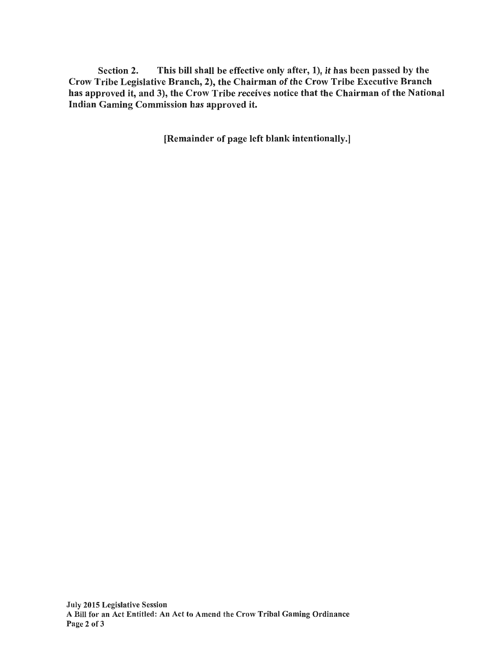Section 2. This bill shall be effective only after, 1), it has been passed by the Crow Tribe Legislative Branch, 2), the Chairman of the Crow Tribe Executive Branch has approved it, and 3), the Crow Tribe receives notice that the Chairman of the National Indian Gaming Commission has approved it.

[Remainder of page left blank intentionally.]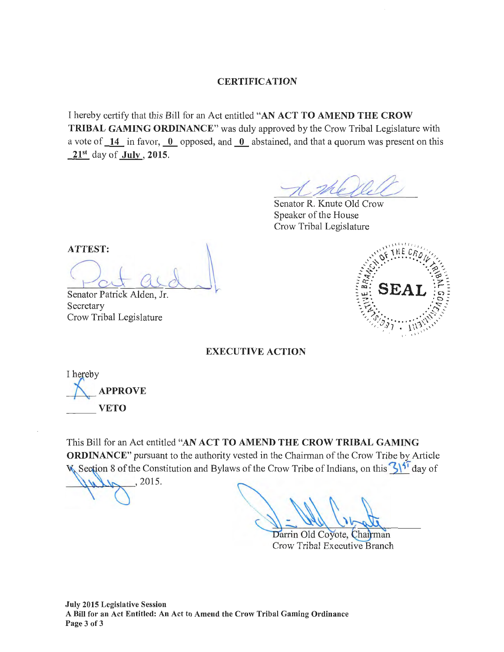## **CERTIFICATION**

I hereby certify that this Bill for an Act entitled "AN ACT TO AMEND THE CROW TRIBAL GAMING ORDINANCE" was duly approved by the Crow Tribal Legislature with a vote of  $\overline{14}$  in favor,  $\overline{0}$  opposed, and  $\overline{0}$  abstained, and that a quorum was present on this  $21<sup>st</sup>$  day of **July**, 2015. ~ Knute Old Crow

 $\overline{\mathcal{A}}$ 

Senator R. Speaker of the House Crow Tribal Legislature

ATTEST: Cut Question Comparison  $\sim$  $\sqrt{2}$ 

Jr. Secretary Crow Tribal Legislature



EXECUTIVE ACTION

I hereby **APPROVE VETO** 

This Bill for an Act entitled "AN ACT TO AMEND THE CROW TRIBAL GAMING ORDINANCE" pursuant to the authority vested in the Chainnan of the Crow Tribe by Article Section 8 of the Constitution and Bylaws of the Crow Tribe of Indians, on this 3\<sup>5T</sup> day of

 $4\mu\mu$ , 2015.

Darrin Old Coyote, Chairman Crow Tribal Executive Branch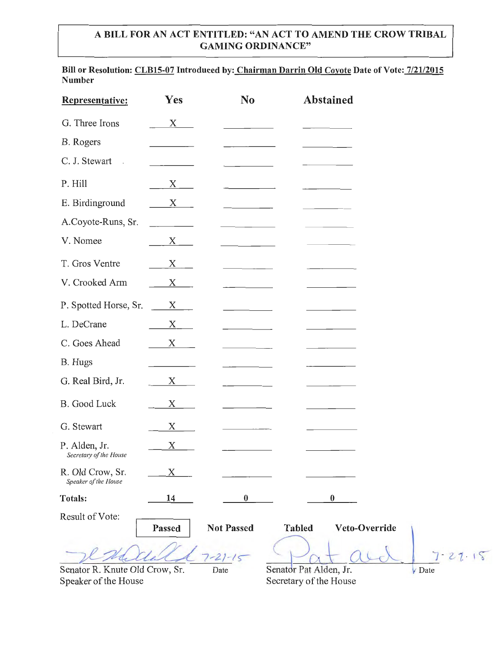# A BILL FOR AN ACT ENTITLED: "AN ACT TO AMEND THE CROW TRIBAL GAMING ORDINANCE"

Bill or Resolution: CLB15-07 Introduced by: Chairman Darrin Old Coyote Date of Vote: 7/21/2015 Number

| Representative:                                        | Yes                   | N <sub>o</sub>    | Abstained                                        |                           |
|--------------------------------------------------------|-----------------------|-------------------|--------------------------------------------------|---------------------------|
| G. Three Irons                                         | $X_{\underline{\ } }$ |                   |                                                  |                           |
| B. Rogers                                              |                       |                   |                                                  |                           |
| C. J. Stewart<br>$\ddot{\phantom{a}}$                  |                       |                   |                                                  |                           |
| P. Hill                                                | $X_{.}$               |                   |                                                  |                           |
| E. Birdinground                                        | $\mathbf X$           |                   |                                                  |                           |
| A.Coyote-Runs, Sr.                                     |                       |                   |                                                  |                           |
| V. Nomee                                               | X                     |                   |                                                  |                           |
| T. Gros Ventre                                         | X                     |                   |                                                  |                           |
| V. Crooked Arm                                         | $X$ –                 |                   |                                                  |                           |
| P. Spotted Horse, Sr.                                  | $X_{\mathcal{L}}$     |                   |                                                  |                           |
| L. DeCrane                                             | X                     |                   |                                                  |                           |
| C. Goes Ahead                                          | $X \qquad \qquad$     |                   |                                                  |                           |
| B. Hugs                                                |                       |                   |                                                  |                           |
| G. Real Bird, Jr.                                      | X                     |                   |                                                  |                           |
| B. Good Luck                                           | $X \qquad \qquad$     |                   |                                                  |                           |
| G. Stewart                                             | X                     |                   |                                                  |                           |
| P. Alden, Jr.<br>Secretary of the House                | X                     |                   |                                                  |                           |
| R. Old Crow, Sr.<br>Speaker of the House               | X                     |                   |                                                  |                           |
| Totals:                                                | 14                    | $\bf{0}$          | $\boldsymbol{0}$                                 |                           |
| Result of Vote:                                        | Passed                | <b>Not Passed</b> | Veto-Override<br><b>Tabled</b>                   |                           |
|                                                        |                       | $21 - 15$         |                                                  | 72215                     |
| Senator R. Knute Old Crow, Sr.<br>Speaker of the House |                       | Date              | Senator Pat Alden, Jr.<br>Secretary of the House | $\sqrt{\phantom{a}}$ Date |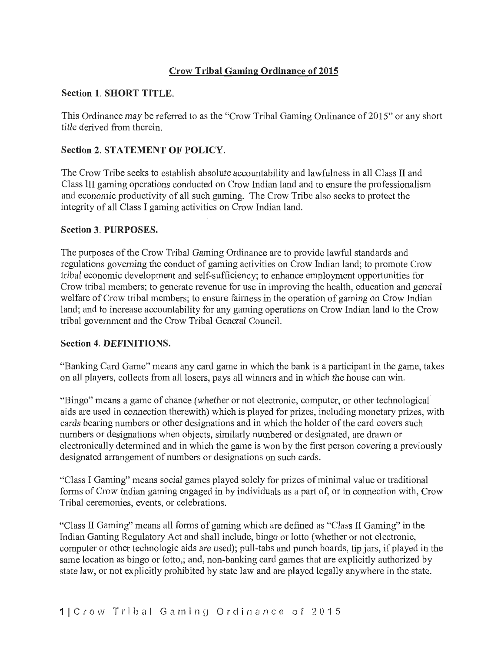# Crow Tribal Gaming Ordinance of 2015

# Section 1. SHORT TITLE.

This Ordinance may be referred to as the "Crow Tribal Gaming Ordinance of 2015" or any short title derived from therein.

# Section 2. STATEMENT OF POLICY.

The Crow Tribe seeks to establish absolute accountability and lawfulness in all Class II and Class III gaming operations conducted on Crow Indian land and to ensure the professionalism and economic productivity of all such gaming. The Crow Tribe also seeks to protect the integrity of all Class I gaming activities on Crow Indian land.

## Section 3. PURPOSES.

The purposes of the Crow Tribal Gaming Ordinance are to provide lawful standards and regulations governing the conduct of gaming activities on Crow Indian land; to promote Crow tribal economic development and self-sufficiency; to enhance employment opportunities for Crow tribal members; to generate revenue for use in improving the health, education and general welfare of Crow tribal members; to ensure fairness in the operation of gaming on Crow Indian land; and to increase accountability for any gaming operations on Crow Indian land to the Crow tribal government and the Crow Tribal General Council.

## Section 4. DEFINITIONS.

"Banking Card Game" means any card game in which the bank is a participant in the game, takes on all players, collects from all losers, pays all winners and in which the house can win.

"Bingo" means a game of chance (whether or not electronic, computer, or other technological aids are used in connection therewith) which is played for prizes, including monetary prizes, with cards bearing numbers or other designations and in which the holder of the card covers such numbers or designations when objects, similarly numbered or designated, are drawn or electronically determined and in which the game is won by the first person covering a previously designated arrangement of numbers or designations on such cards.

"Class I Gaming" means social games played solely for prizes of minimal value or traditional forms of Crow Indian gaming engaged in by individuals as a part of, or in connection with, Crow Tribal ceremonies, events, or celebrations.

"Class II Gaming" means all forms of gaming which are defined as "Class II Gaming" in the Indian Gaming Regulatory Act and shall include, bingo or lotto (whether or not electronic, computer or other technologic aids are used); pull-tabs and punch boards, tip jars, if played in the same location as bingo or lotto,; and, non-banking card games that are explicitly authorized by state law, or not explicitly prohibited by state law and are played legally anywhere in the state.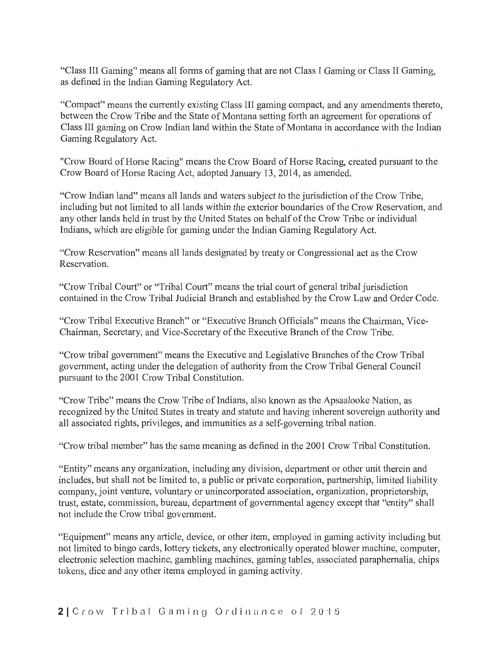"Class III Gaming" means all forms of gaming that are not Class I Gaming or Class II Gaming, as defined in the Indian Gaming Regulatory Act.

"Compact" means the currently existing Class III gaming compact, and any amendments thereto, between the Crow Tribe and the State of Montana setting forth an agreement for operations of Class III gaming on Crow Indian land within the State of Montana in accordance with the Indian Gaming Regulatory Act.

"Crow Board of Horse Racing" means the Crow Board of Horse Racing, created pursuant to the Crow Board of Horse Racing Act, adopted January 13, 2014, as amended.

"Crow Indian land" means all lands and waters subject to the jurisdiction of the Crow Tribe, including but not limited to all lands within the exterior boundaries of the Crow Reservation, and any other lands held in trust by the United States on behalf of the Crow Tribe or individual Indians, which are eligible for gaming under the Indian Gaming Regulatory Act.

"Crow Reservation" means all lands designated by treaty or Congressional act as the Crow Reservation.

"Crow Tribal Court" or "Tribal Court" means the trial court of general tribal jurisdiction contained in the Crow Tribal Judicial Branch and established by the Crow Law and Order Code.

"Crow Tribal Executive Branch" or "Executive Branch Officials" means the Chairman, Vice-Chairman, Secretary, and Vice-Secretary of the Executive Branch of the Crow Tribe.

"Crow tribal government" means the Executive and Legislative Branches of the Crow Tribal government, acting under the delegation of authority from the Crow Tribal General Council pursuant to the 2001 Crow Tribal Constitution.

"Crow Tribe" means the Crow Tribe of Indians, also known as the Apsaalooke Nation, as recognized by the United States in treaty and statute and having inherent sovereign authority and all associated rights, privileges, and immunities as a self-governing tribal nation.

"Crow tribal member" has the same meaning as defined in the 2001 Crow Tribal Constitution.

"Entity" means any organization, including any division, department or other unit therein and includes, but shall not be limited to, a public or private corporation, partnership, limited liability company, joint venture, voluntary or unincorporated association, organization, proprietorship, trust, estate, commission, bureau, department of governmental agency except that "entity" shall not include the Crow tribal government.

"Equipment" means any article, device, or other item, employed in gaming activity including but not limited to bingo cards, lottery tickets, any electronically operated blower machine, computer, electronic selection machine, gambling machines, gaming tables, associated paraphernalia, chips tokens, dice and any other items employed in gaming activity.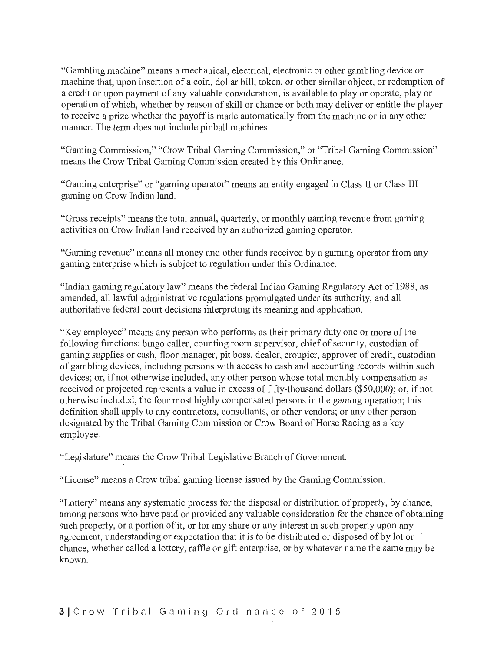"Gambling machine" means a mechanical, electrical, electronic or other gambling device or machine that, upon insertion of a coin, dollar bill, token, or other similar object, or redemption of a credit or upon payment of any valuable consideration, is available to play or operate, play or operation of which, whether by reason of skill or chance or both may deliver or entitle the player to receive a prize whether the payoff is made automatically from the machine or in any other manner. The term does not include pinball machines.

"Gaming Commission," "Crow Tribal Gaming Commission," or "Tribal Gaming Commission" means the Crow Tribal Gaming Commission created by this Ordinance.

"Gaming enterprise" or "gaming operator" means an entity engaged in Class II or Class III gaming on Crow Indian land.

"Gross receipts" means the total annual, quarterly, or monthly gaming revenue from gaming activities on Crow Indian land received by an authorized gaming operator.

"Gaming revenue" means all money and other funds received by a gaming operator from any gaming enterprise which is subject to regulation under this Ordinance.

"Indian gaming regulatory law" means the federal Indian Gaming Regulatory Act of 1988, as amended, all lawful administrative regulations promulgated under its authority, and all authoritative federal court decisions interpreting its meaning and application.

"Key employee" means any person who performs as their primary duty one or more of the following functions: bingo caller, counting room supervisor, chief of security, custodian of gaming supplies or cash, floor manager, pit boss, dealer, croupier, approver of credit, custodian of gambling devices, including persons with access to cash and accounting records within such devices; or, if not otherwise included, any other person whose total monthly compensation as received or projected represents a value in excess of fifty-thousand dollars (\$50,000); or, if not otherwise included, the four most highly compensated persons in the gaming operation; this definition shall apply to any contractors, consultants, or other vendors; or any other person designated by the Tribal Gaming Commission or Crow Board of Horse Racing as a key employee.

"Legislature" means the Crow Tribal Legislative Branch of Government.

"License" means a Crow tribal gaming license issued by the Gaming Commission.

"Lottery" means any systematic process for the disposal or distribution of property, by chance, among persons who have paid or provided any valuable consideration for the chance of obtaining such property, or a portion of it, or for any share or any interest in such property upon any agreement, understanding or expectation that it is to be distributed or disposed of by lot or chance, whether called a lottery, raffle or gift enterprise, or by whatever name the same may be known.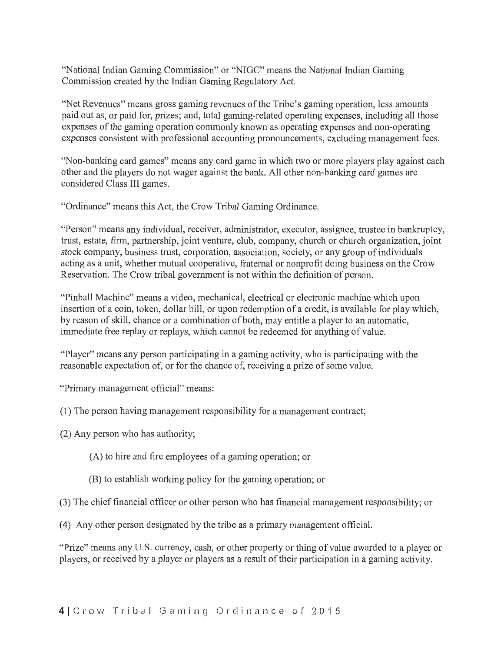"National Indian Gaming Commission" or "NIGC" means the National Indian Gaming Commission created by the Indian Gaming Regulatory Act.

"Net Revenues" means gross gaming revenues of the Tribe's gaming operation, less amounts paid out as, or paid for, prizes; and, total gaming-related operating expenses, including all those expenses of the gaming operation commonly known as operating expenses and non-operating expenses consistent with professional accounting pronouncements, excluding management fees.

"Non-banking card games" means any card game in which two or more players play against each other and the players do not wager against the bank. All other non-banking card games are considered Class III games.

"Ordinance" means this Act, the Crow Tribal Gaming Ordinance.

"Person" means any individual, receiver, administrator, executor, assignee, trustee in bankruptcy, trust, estate, firm, partnership, joint venture, club, company, church or church organization, joint stock company, business trust, corporation, association, society, or any group of individuals acting as a unit, whether mutual cooperative, fraternal or nonprofit doing business on the Crow Reservation. The Crow tribal government is not within the definition of person.

"Pinball Machine" means a video, mechanical, electrical or electronic machine which upon insertion of a coin, token, dollar bill, or upon redemption of a credit, is available for play which, by reason of skill, chance or a combination of both, may entitle a player to an automatic, immediate free replay or replays, which cannot be redeemed for anything of value.

"Player" means any person participating in a gaming activity, who is participating with the reasonable expectation of, or for the chance of, receiving a prize of some value.

"Primary management official" means:

- (1) The person having management responsibility for a management contract;
- (2) Any person who has authority;
	- (A) to hire and fire employees of a gaming operation; or
	- (B) to establish working policy for the gaming operation; or

(3) The chief financial officer or other person who has financial management responsibility; or

(4) Any other person designated by the tribe as a primary management official.

"Prize" means any U.S. currency, cash, or other property or thing of value awarded to a player or players, or received by a player or players as a result of their participation in a gaming activity.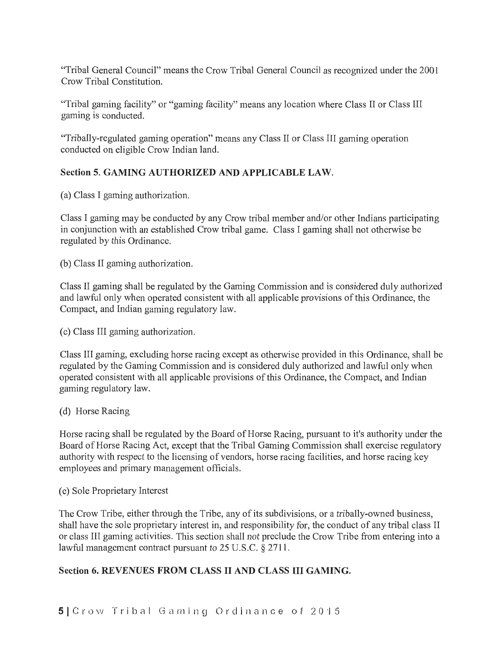"Tribal General Council" means the Crow Tribal General Council as recognized under the 2001 Crow Tribal Constitution.

"Tribal gaming facility" or "gaming facility" means any location where Class II or Class III gaming is conducted.

"Tribally-regulated gaming operation" means any Class II or Class III gaming operation conducted on eligible Crow Indian land.

# Section 5. GAMING AUTHORIZED AND APPLICABLE LAW.

(a) Class I gaming authorization.

Class I gaming may be conducted by any Crow tribal member and/or other Indians participating in conjunction with an established Crow tribal game. Class I gaming shall not otherwise be regulated by this Ordinance.

(b) Class II gaming authorization.

Class II gaming shall be regulated by the Gaming Commission and is considered duly authorized and lawful only when operated consistent with all applicable provisions of this Ordinance, the Compact, and Indian gaming regulatory law.

( c) Class III gaming authorization.

Class III gaming, excluding horse racing except as otherwise provided in this Ordinance, shall be regulated by the Gaming Commission and is considered duly authorized and lawful only when operated consistent with all applicable provisions of this Ordinance, the Compact, and Indian gaming regulatory law.

# (d) Horse Racing

Horse racing shall be regulated by the Board of Horse Racing, pursuant to it's authority under the Board of Horse Racing Act, except that the Tribal Gaming Commission shall exercise regulatory authority with respect to the licensing of vendors, horse racing facilities, and horse racing key employees and primary management officials.

( e) Sole Proprietary Interest

The Crow Tribe, either through the Tribe, any of its subdivisions, or a tribally-owned business, shall have the sole proprietary interest in, and responsibility for, the conduct of any tribal class II or class III gaming activities. This section shall not preclude the Crow Tribe from entering into a lawful management contract pursuant to 25 U.S.C. § 2711.

# Section 6. REVENUES FROM CLASS II AND CLASS III GAMING.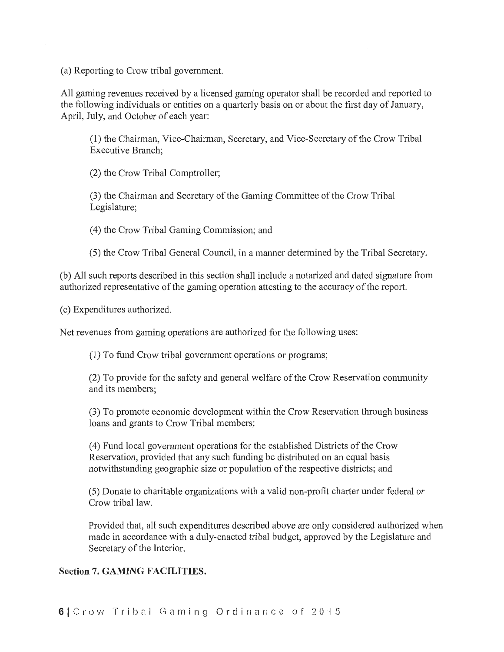(a) Reporting to Crow tribal government.

All gaming revenues received by a licensed gaming operator shall be recorded and reported to the following individuals or entities on a quarterly basis on or about the first day of January, April, July, and October of each year:

(1) the Chairman, Vice-Chairman, Secretary, and Vice-Secretary of the Crow Tribal Executive Branch;

(2) the Crow Tribal Comptroller;

(3) the Chairman and Secretary of the Gaming Committee of the Crow Tribal Legislature;

(4) the Crow Tribal Gaming Commission; and

(5) the Crow Tribal General Council, in a manner determined by the Tribal Secretary.

(b) All such reports described in this section shall include a notarized and dated signature from authorized representative of the gaming operation attesting to the accuracy of the report.

(c) Expenditures authorized.

Net revenues from gaming operations are authorized for the following uses:

(1) To fund Crow tribal government operations or programs;

(2) To provide for the safety and general welfare of the Crow Reservation community and its members;

(3) To promote economic development within the Crow Reservation through business loans and grants to Crow Tribal members;

(4) Fund local government operations for the established Districts of the Crow Reservation, provided that any such funding be distributed on an equal basis notwithstanding geographic size or population of the respective districts; and

(5) Donate to charitable organizations with a valid non-profit charter under federal or Crow tribal law.

Provided that, all such expenditures described above are only considered authorized when made in accordance with a duly-enacted tribal budget, approved by the Legislature and Secretary of the Interior.

# Section 7. GAMING FACILITIES.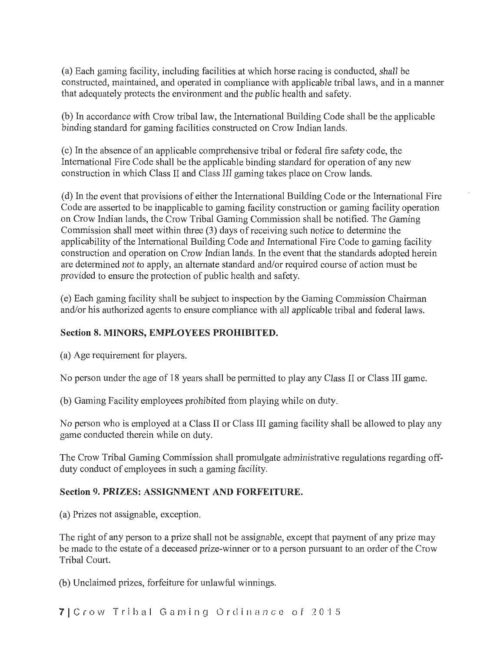(a) Each gaming facility, including facilities at which horse racing is conducted, shall be constructed, maintained, and operated in compliance with applicable tribal laws, and in a manner that adequately protects the environment and the public health and safety.

(b) In accordance with Crow tribal law, the International Building Code shall be the applicable binding standard for gaming facilities constructed on Crow Indian lands.

( c) In the absence of an applicable comprehensive tribal or federal fire safety code, the International Fire Code shall be the applicable binding standard for operation of any new construction in which Class II and Class III gaming takes place on Crow lands.

( d) In the event that provisions of either the International Building Code or the International Fire Code are asserted to be inapplicable to gaming facility construction or gaming facility operation on Crow Indian lands, the Crow Tribal Gaming Commission shall be notified. The Gaming Commission shall meet within three (3) days of receiving such notice to determine the applicability of the International Building Code and International Fire Code to gaming facility construction and operation on Crow Indian lands. In the event that the standards adopted herein are determined not to apply, an alternate standard and/or required course of action must be provided to ensure the protection of public health and safety.

(e) Each gaming facility shall be subject to inspection by the Gaming Commission Chairman and/or his authorized agents to ensure compliance with all applicable tribal and federal laws.

# Section 8. MINORS, EMPLOYEES PROHIBITED.

(a) Age requirement for players.

No person under the age of 18 years shall be permitted to play any Class II or Class III game.

(b) Gaming Facility employees prohibited from playing while on duty.

No person who is employed at a Class II or Class III gaming facility shall be allowed to play any game conducted therein while on duty.

The Crow Tribal Gaming Commission shall promulgate administrative regulations regarding offduty conduct of employees in such a gaming facility.

# Section 9. PRIZES: ASSIGNMENT AND FORFEITURE.

(a) Prizes not assignable, exception.

The right of any person to a prize shall not be assignable, except that payment of any prize may be made to the estate of a deceased prize-winner or to a person pursuant to an order of the Crow Tribal Court.

(b) Unclaimed prizes, forfeiture for unlawful winnings.

7 Crow Tribal Gaming Ordinance of 2015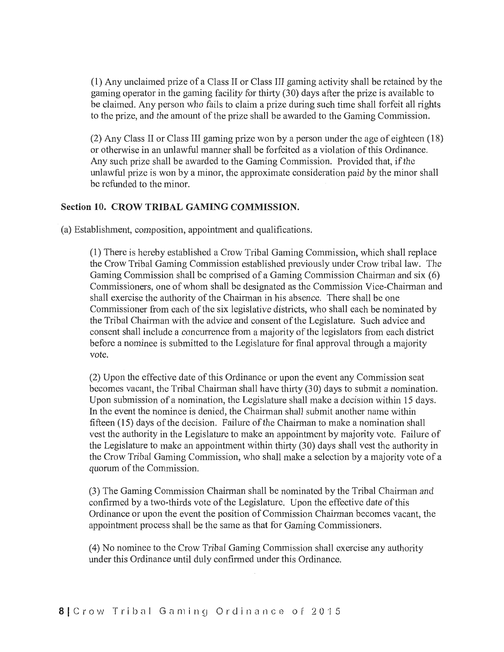(1) Any unclaimed prize of a Class II or Class III gaming activity shall be retained by the gaming operator in the gaming facility for thirty (30) days after the prize is available to be claimed. Any person who fails to claim a prize during such time shall forfeit all rights to the prize, and the amount of the prize shall be awarded to the Gaming Commission.

(2) Any Class II or Class III gaming prize won by a person under the age of eighteen (18) or otherwise in an unlawful manner shall be forfeited as a violation of this Ordinance. Any such prize shall be awarded to the Gaming Commission. Provided that, if the unlawful prize is won by a minor, the approximate consideration paid by the minor shall be refunded to the minor.

## Section 10. CROW TRIBAL GAMING COMMISSION.

(a) Establishment, composition, appointment and qualifications.

(1) There is hereby established a Crow Tribal Gaming Commission, which shall replace the Crow Tribal Gaming Commission established previously under Crow tribal law. The Gaming Commission shall be comprised of a Gaming Commission Chairman and six  $(6)$ Commissioners, one of whom shall be designated as the Commission Vice-Chairman and shall exercise the authority of the Chairman in his absence. There shall be one Commissioner from each of the six legislative districts, who shall each be nominated by the Tribal Chairman with the advice and consent of the Legislature. Such advice and consent shall include a concurrence from a majority of the legislators from each district before a nominee is submitted to the Legislature for final approval through a majority vote.

(2) Upon the effective date of this Ordinance or upon the event any Commission seat becomes vacant, the Tribal Chairman shall have thirty (30) days to submit a nomination. Upon submission of a nomination, the Legislature shall make a decision within 15 days. In the event the nominee is denied, the Chairman shall submit another name within fifteen  $(15)$  days of the decision. Failure of the Chairman to make a nomination shall vest the authority in the Legislature to make an appointment by majority vote. Failure of the Legislature to make an appointment within thirty (30) days shall vest the authority in the Crow Tribal Gaming Commission, who shall make a selection by a majority vote of a quorum of the Commission.

(3) The Gaming Commission Chairman shall be nominated by the Tribal Chairman and confirmed by a two-thirds vote of the Legislature. Upon the effective date of this Ordinance or upon the event the position of Commission Chairman becomes vacant, the appointment process shall be the same as that for Gaming Commissioners.

(4) No nominee to the Crow Tribal Gaming Commission shall exercise any authority under this Ordinance until duly confirmed under this Ordinance.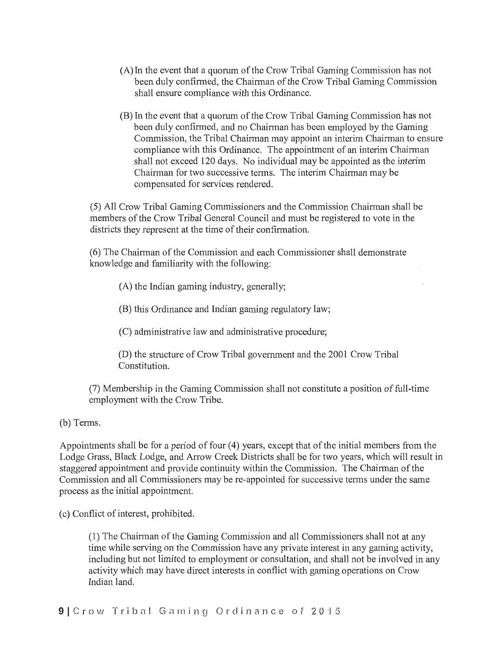- (A) In the event that a quorum of the Crow Tribal Gaming Commission has not been duly confirmed, the Chairman of the Crow Tribal Gaming Commission shall ensure compliance with this Ordinance.
- (B) In the event that a quorum of the Crow Tribal Gaming Commission has not been duly confirmed, and no Chairman has been employed by the Gaming Commission, the Tribal Chairman may appoint an interim Chairman to ensure compliance with this Ordinance. The appointment of an interim Chairman shall not exceed 120 days. No individual may be appointed as the interim Chairman for two successive terms. The interim Chairman may be compensated for services rendered.

(5) All Crow Tribal Gaming Commissioners and the Commission Chairman shall be members of the Crow Tribal General Council and must be registered to vote in the districts they represent at the time of their confirmation.

(6) The Chairman of the Commission and each Commissioner shall demonstrate knowledge and familiarity with the following:

(A) the Indian gaming industry, generally;

(B) this Ordinance and Indian gaming regulatory law;

(C) administrative law and administrative procedure;

(D) the structure of Crow Tribal government and the 2001 Crow Tribal Constitution.

(7) Membership in the Gaming Commission shall not constitute a position of full-time employment with the Crow Tribe.

(b) Terms.

Appointments shall be for a period of four (4) years, except that of the initial members from the Lodge Grass, Black Lodge, and Arrow Creek Districts shall be for two years, which will result in staggered appointment and provide continuity within the Commission. The Chairman of the Commission and all Commissioners may be re-appointed for successive terms under the same process as the initial appointment.

(c) Conflict of interest, prohibited.

(1) The Chairman of the Gaming Commission and all Commissioners shall not at any time while serving on the Commission have any private interest in any gaming activity, including but not limited to employment or consultation, and shall not be involved in any activity which may have direct interests in conflict with gaming operations on Crow Indian land.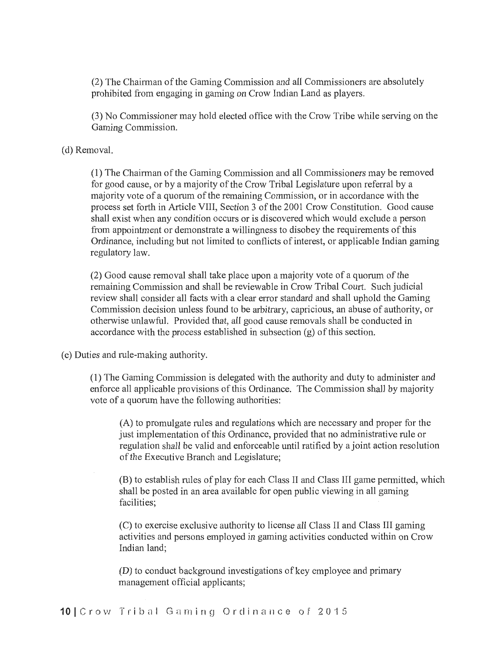(2) The Chairman of the Gaming Commission and all Commissioners are absolutely prohibited from engaging in gaming on Crow Indian Land as players.

(3) No Commissioner may hold elected office with the Crow Tribe while serving on the Gaming Commission.

#### (d) Removal.

(1) The Chairman of the Gaming Commission and all Commissioners may be removed for good cause, or by a majority of the Crow Tribal Legislature upon referral by a majority vote of a quorum of the remaining Commission, or in accordance with the process set forth in Article VIII, Section 3 of the 2001 Crow Constitution. Good cause shall exist when any condition occurs or is discovered which would exclude a person from appointment or demonstrate a willingness to disobey the requirements of this Ordinance, including but not limited to conflicts of interest, or applicable Indian gaming regulatory law.

(2) Good cause removal shall take place upon a majority vote of a quorum of the remaining Commission and shall be reviewable in Crow Tribal Court. Such judicial review shall consider all facts with a clear error standard and shall uphold the Gaming Commission decision unless found to be arbitrary, capricious, an abuse of authority, or otherwise unlawful. Provided that, all good cause removals shall be conducted in accordance with the process established in subsection (g) of this section.

(e) Duties and rule-making authority.

(1) The Gaming Commission is delegated with the authority and duty to administer and enforce all applicable provisions of this Ordinance. The Commission shall by majority vote of a quorum have the following authorities:

(A) to promulgate rules and regulations which are necessary and proper for the just implementation of this Ordinance, provided that no administrative rule or regulation shall be valid and enforceable until ratified by a joint action resolution of the Executive Branch and Legislature;

(B) to establish rules of play for each Class II and Class III game permitted, which shall be posted in an area available for open public viewing in all gaming facilities;

(C) to exercise exclusive authority to license all Class II and Class III gaming activities and persons employed in gaming activities conducted within on Crow Indian land;

(D) to conduct background investigations of key employee and primary management official applicants;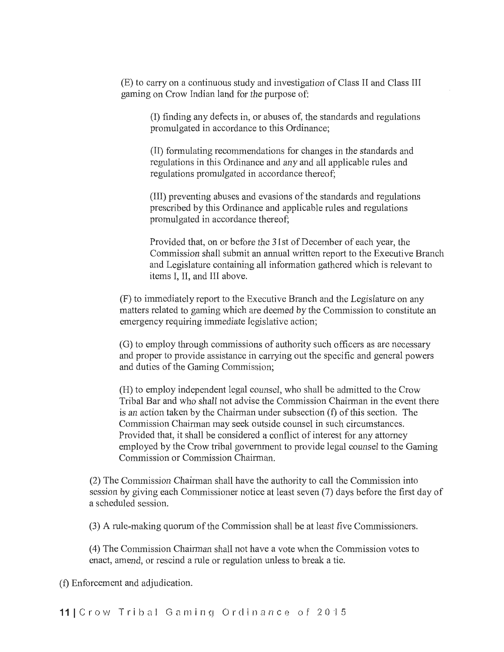(E) to carry on a continuous study and investigation of Class II and Class III gaming on Crow Indian land for the purpose of:

(I) finding any defects in, or abuses of, the standards and regulations promulgated in accordance to this Ordinance;

(II) formulating recommendations for changes in the standards and regulations in this Ordinance and any and all applicable rules and regulations promulgated in accordance thereof;

(III) preventing abuses and evasions of the standards and regulations prescribed by this Ordinance and applicable rules and regulations promulgated in accordance thereof;

Provided that, on or before the 31st of December of each year, the Commission shall submit an annual written report to the Executive Branch and Legislature containing all information gathered which is relevant to items I, II, and III above.

(F) to immediately report to the Executive Branch and the Legislature on any matters related to gaming which are deemed by the Commission to constitute an emergency requiring immediate legislative action;

(G) to employ through commissions of authority such officers as are necessary and proper to provide assistance in carrying out the specific and general powers and duties of the Gaming Commission;

(H) to employ independent legal counsel, who shall be admitted to the Crow Tribal Bar and who shall not advise the Commission Chairman in the event there is an action taken by the Chairman under subsection  $(f)$  of this section. The Commission Chairman may seek outside counsel in such circumstances. Provided that, it shall be considered a conflict of interest for any attorney employed by the Crow tribal government to provide legal counsel to the Gaming Commission or Commission Chairman.

 $(2)$  The Commission Chairman shall have the authority to call the Commission into session by giving each Commissioner notice at least seven (7) days before the first day of a scheduled session.

(3) A rule-making quorum of the Commission shall be at least five Commissioners.

(4) The Commission Chairman shall not have a vote when the Commission votes to enact, amend, or rescind a rule or regulation unless to break a tie.

(t) Enforcement and adjudication.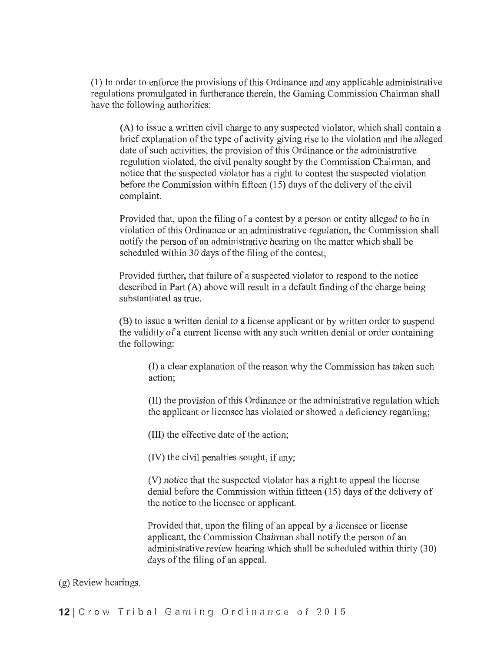(1) In order to enforce the provisions of this Ordinance and any applicable administrative regulations promulgated in furtherance therein, the Gaming Commission Chairman shall have the following authorities:

 $(A)$  to issue a written civil charge to any suspected violator, which shall contain a brief explanation of the type of activity giving rise to the violation and the alleged date of such activities, the provision of this Ordinance or the administrative regulation violated, the civil penalty sought by the Commission Chairman, and notice that the suspected violator has a right to contest the suspected violation before the Commission within fifteen (15) days of the delivery of the civil complaint.

Provided that, upon the filing of a contest by a person or entity alleged to be in violation of this Ordinance or an administrative regulation, the Commission shall notify the person of an administrative hearing on the matter which shall be scheduled within 30 days of the filing of the contest;

Provided further, that failure of a suspected violator to respond to the notice described in Part (A) above will result in a default finding of the charge being substantiated as true.

(B) to issue a written denial to a license applicant or by written order to suspend the validity of a current license with any such written denial or order containing the following:

(I) a clear explanation of the reason why the Commission has taken such action;

(II) the provision of this Ordinance or the administrative regulation which the applicant or licensee has violated or showed a deficiency regarding;

(III) the effective date of the action;

(IV) the civil penalties sought, if any;

(V) notice that the suspected violator has a right to appeal the license denial before the Commission within fifteen (15) days of the delivery of the notice to the licensee or applicant.

Provided that, upon the filing of an appeal by a licensee or license applicant, the Commission Chairman shall notify the person of an administrative review hearing which shall be scheduled within thirty (30) days of the filing of an appeal.

#### (g) Review hearings.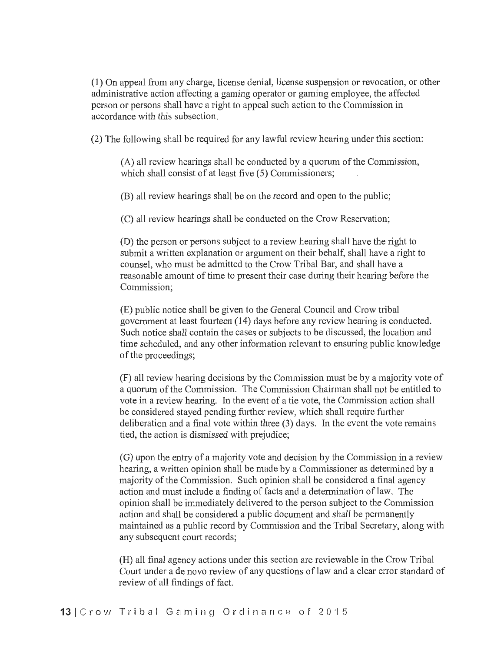(1) On appeal from any charge, license denial, license suspension or revocation, or other administrative action affecting a gaming operator or gaming employee, the affected person or persons shall have a right to appeal such action to the Commission in accordance with this subsection.

(2) The following shall be required for any lawful review hearing under this section:

(A) all review hearings shall be conducted by a quorum of the Commission, which shall consist of at least five (5) Commissioners;

(B) all review hearings shall be on the record and open to the public;

(C) all review hearings shall be conducted on the Crow Reservation;

(D) the person or persons subject to a review hearing shall have the right to submit a written explanation or argument on their behalf, shall have a right to counsel, who must be admitted to the Crow Tribal Bar, and shall have a reasonable amount of time to present their case during their hearing before the Commission;

(E) public notice shall be given to the General Council and Crow tribal government at least fourteen (14) days before any review hearing is conducted. Such notice shall contain the cases or subjects to be discussed, the location and time scheduled, and any other information relevant to ensuring public knowledge of the proceedings;

(F) all review hearing decisions by the Commission must be by a majority vote of a quorum of the Commission. The Commission Chairman shall not be entitled to vote in a review hearing. In the event of a tie vote, the Commission action shall be considered stayed pending further review, which shall require further deliberation and a final vote within three (3) days. In the event the vote remains tied, the action is dismissed with prejudice;

(G) upon the entry of a majority vote and decision by the Commission in a review hearing, a written opinion shall be made by a Commissioner as determined by a majority of the Commission. Such opinion shall be considered a final agency action and must include a finding of facts and a determination of law. The opinion shall be immediately delivered to the person subject to the Commission action and shall be considered a public document and shall be permanently maintained as a public record by Commission and the Tribal Secretary, along with any subsequent court records;

(H) all final agency actions under this section are reviewable in the Crow Tribal Court under a de novo review of any questions of law and a clear error standard of review of all findings of fact.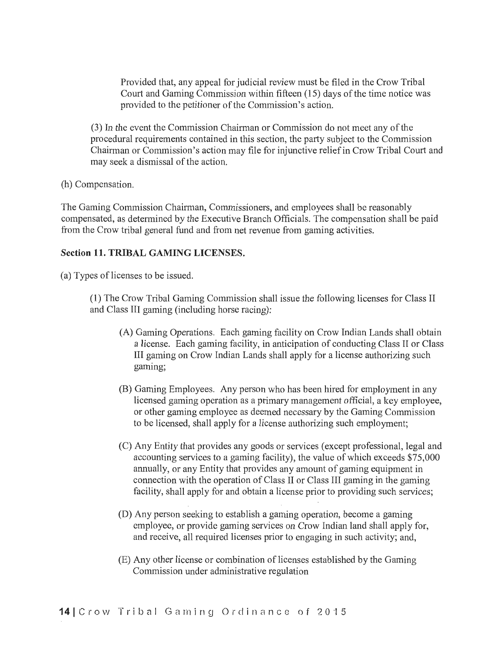Provided that, any appeal for judicial review must be filed in the Crow Tribal Court and Gaming Commission within fifteen (15) days of the time notice was provided to the petitioner of the Commission's action.

(3) In the event the Commission Chairman or Commission do not meet any of the procedural requirements contained in this section, the party subject to the Commission Chairman or Commission's action may file for injunctive relief in Crow Tribal Court and may seek a dismissal of the action.

(h) Compensation.

The Gaming Commission Chairman, Commissioners, and employees shall be reasonably compensated, as determined by the Executive Branch Officials. The compensation shall be paid from the Crow tribal general fund and from net revenue from gaming activities.

## **Section 11. TRIBAL GAMING LICENSES.**

(a) Types of licenses to be issued.

(1) The Crow Tribal Gaming Commission shall issue the following licenses for Class II and Class III gaming (including horse racing):

- (A) Gaming Operations. Each gaming facility on Crow Indian Lands shall obtain a license. Each gaming facility, in anticipation of conducting Class II or Class III gaming on Crow Indian Lands shall apply for a license authorizing such gaming;
- (B) Gaming Employees. Any person who has been hired for employment in any licensed gaming operation as a primary management official, a key employee, or other gaming employee as deemed necessary by the Gaming Commission to be licensed, shall apply for a license authorizing such employment;
- (C) Any Entity that provides any goods or services (except professional, legal and accounting services to a gaming facility), the value of which exceeds \$75,000 annually, or any Entity that provides any amount of gaming equipment in connection with the operation of Class II or Class III gaming in the gaming facility, shall apply for and obtain a license prior to providing such services;
- (D) Any person seeking to establish a gaming operation, become a gaming employee, or provide gaming services on Crow Indian land shall apply for, and receive, all required licenses prior to engaging in such activity; and,
- (E) Any other license or combination of licenses established by the Gaming Commission under administrative regulation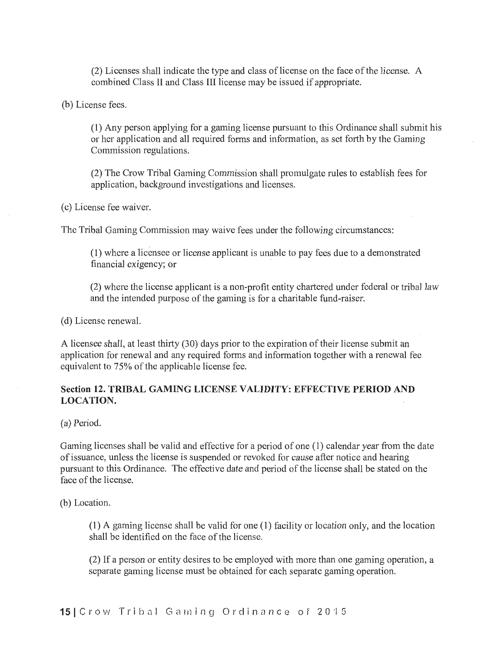(2) Licenses shall indicate the type and class of license on the face of the license. A combined Class II and Class III license may be issued if appropriate.

(b) License fees.

(1) Any person applying for a gaming license pursuant to this Ordinance shall submit his or her application and all required forms and information, as set forth by the Gaming Commission regulations.

(2) The Crow Tribal Gaming Commission shall promulgate rules to establish fees for application, background investigations and licenses.

(c) License fee waiver.

The Tribal Gaming Commission may waive fees under the following circumstances:

(1) where a licensee or license applicant is unable to pay fees due to a demonstrated financial exigency; or

(2) where the license applicant is a non-profit entity chartered under federal or ttibal law and the intended purpose of the gaming is for a charitable fund-raiser.

(d) License renewal.

A licensee shall, at least thirty (30) days prior to the expiration of their license submit an application for renewal and any required forms and information together with a renewal fee equivalent to 75% of the applicable license fee.

## Section 12. TRIBAL GAMING LICENSE VALIDITY: EFFECTIVE PERIOD AND LOCATION.

(a) Period.

Gaming licenses shall be valid and effective for a period of one (1) calendar year from the date of issuance, unless the license is suspended or revoked for cause after notice and hearing pursuant to this Ordinance. The effective date and period of the license shall be stated on the face of the license.

(b) Location.

(1) A gaming license shall be valid for one ( 1) facility or location only, and the location shall be identified on the face of the license.

(2) If a person or entity desires to be employed with more than one gaming operation, a separate gaming license must be obtained for each separate gaming operation.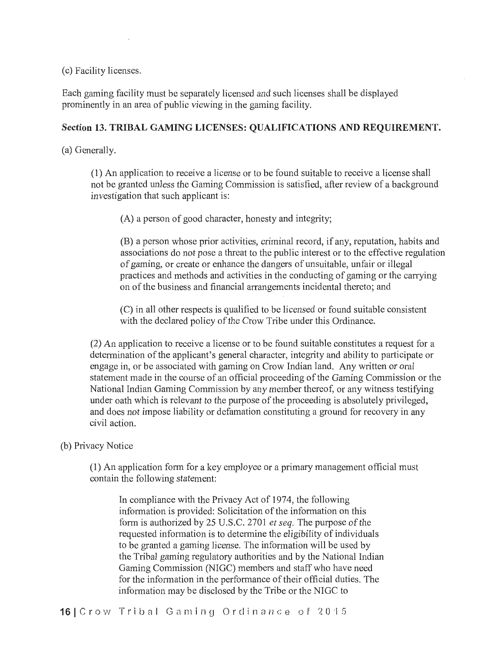(c) Facility licenses.

Each gaming facility must be separately licensed and such licenses shall be displayed prominently in an area of public viewing in the gaming facility.

#### Section 13. TRIBAL GAMING LICENSES: QUALIFICATIONS AND REQUIREMENT.

(a) Generally.

(1) An application to receive a license or to be found suitable to receive a license shall not be granted unless the Gaming Commission is satisfied, after review of a background investigation that such applicant is:

(A) a person of good character, honesty and integrity;

(B) a person whose prior activities, criminal record, if any, reputation, habits and associations do not pose a threat to the public interest or to the effective regulation of gaming, or create or enhance the dangers of unsuitable, unfair or illegal practices and methods and activities in the conducting of gaming or the canying on of the business and financial arrangements incidental thereto; and

(C) in all other respects is qualified to be licensed or found suitable consistent with the declared policy of the Crow Tribe under this Ordinance.

(2) An application to receive a license or to be found suitable constitutes a request for a determination of the applicant's general character, integrity and ability to participate or engage in, or be associated with gaming on Crow Indian land. Any written or oral statement made in the course of an official proceeding of the Gaming Commission or the National Indian Gaming Commission by any member thereof, or any witness testifying under oath which is relevant to the purpose of the proceeding is absolutely privileged, and does not impose liability or defamation constituting a ground for recovery in any civil action.

## (b) Privacy Notice

(1) An application fonn for a key employee or a primary management official must contain the following statement:

In compliance with the Privacy Act of 1974, the following information is provided: Solicitation of the information on this form is authorized by 25 U.S.C. 2701 *et seq.* The purpose of the requested information is to determine the eligibility of individuals to be granted a gaming license. The information will be used by the Tribal gaming regulatory authorities and by the National Indian Gaming Commission (NIGC) members and staff who have need for the information in the performance of their official duties. The information may be disclosed by the Tribe or the NIGC to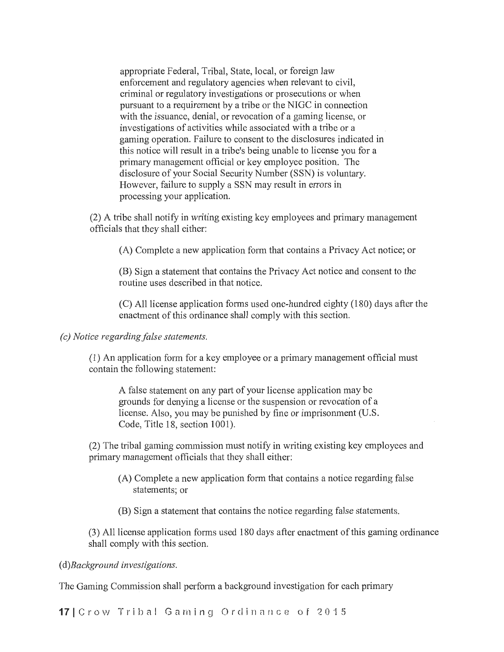appropriate Federal, Tribal, State, local, or foreign law enforcement and regulatory agencies when relevant to civil, criminal or regulatory investigations or prosecutions or when pursuant to a requirement by a tribe or the NIGC in connection with the issuance, denial, or revocation of a gaming license, or investigations of activities while associated with a tribe or a gaming operation. Failure to consent to the disclosures indicated in this notice will result in a tiibe's being unable to license you for a primary management official or key employee position. The disclosure of your Social Security Number (SSN) is voluntary. However, failure to supply a SSN may result in errors in processing your application.

(2) A tribe shall notify in writing existing key employees and primary management officials that they shall either:

(A) Complete a new application form that contains a Privacy Act notice; or

(B) Sign a statement that contains the Privacy Act notice and consent to the routine uses described in that notice.

(C) All license application fotms used one-hundred eighty (180) days after the enactment of this ordinance shall comply with this section.

*(c) Notice regarding false statements.* 

(1) An application form for a key employee or a primary management official must contain the following statement:

A false statement on any part of your license application may be grounds for denying a license or the suspension or revocation of a license. Also, you may be punished by fine or imprisonment (U.S. Code, Title 18, section 1001).

(2) The ttibal gaming commission must notify in writing existing key employees and primary management officials that they shall either:

- (A) Complete a new application form that contains a notice regarding false statements; or
- (B) Sign a statement that contains the notice regarding false statements.

(3) All license application forms used 180 days after enactment of this gaming ordinance shall comply with this section.

( *d)Background investigations.* 

The Gaming Commission shall perform a background investigation for each primary

17 Crow Tribal Gaming Ordinance of 2015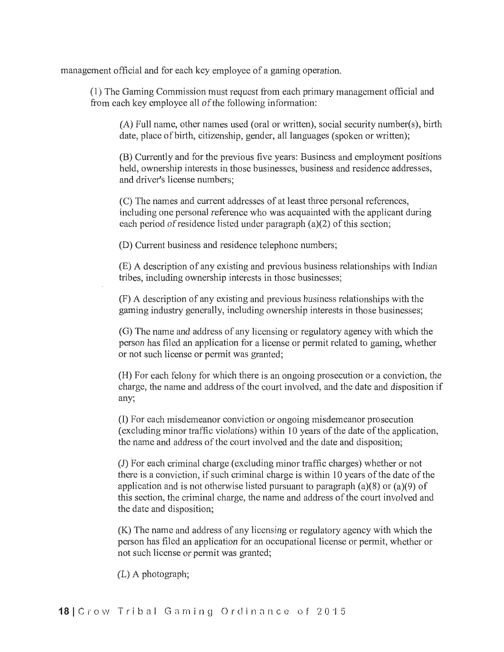management official and for each key employee of a gaming operation.

(1) The Gaming Commission must request from each primary management official and from each key employee all of the following information:

 $(A)$  Full name, other names used (oral or written), social security number(s), birth date, place of birth, citizenship, gender, all languages (spoken or written);

(B) Currently and for the previous five years: Business and employment positions held, ownership interests in those businesses, business and residence addresses, and driver's license numbers;

(C) The names and current addresses of at least three personal references, including one personal reference who was acquainted with the applicant during each period of residence listed under paragraph (a)(2) of this section;

(D) Current business and residence telephone numbers;

(E) A description of any existing and previous business relationships with Indian tribes, including ownership interests in those businesses;

(F) A description of any existing and previous business relationships with the gaming industry generally, including ownership interests in those businesses;

(G) The name and address of any licensing or regulatory agency with which the person has filed an application for a license or permit related to gaming, whether or not such license or permit was granted;

(H) For each felony for which there is an ongoing prosecution or a conviction, the charge, the name and address of the court involved, and the date and disposition if any;

(I) For each misdemeanor conviction or ongoing misdemeanor prosecution (excluding minor traffic violations) within 10 years of the date of the application, the name and address of the court involved and the date and disposition;

(J) For each criminal charge (excluding minor traffic charges) whether or not there is a conviction, if such criminal charge is within 10 years of the date of the application and is not otherwise listed pursuant to paragraph (a)(8) or (a)(9) of this section, the criminal charge, the name and address of the court involved and the date and disposition;

(K) The name and address of any licensing or regulatory agency with which the person has filed an application for an occupational license or pennit, whether or not such license or permit was granted;

(L) A photograph;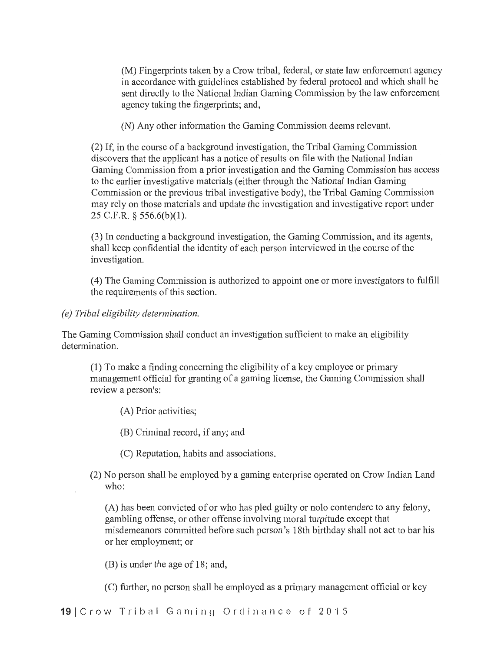(M) Fingerprints taken by a Crow tribal, federal, or state law enforcement agency in accordance with guidelines established by federal protocol and which shall be sent directly to the National Indian Gaming Commission by the law enforcement agency taking the fingerprints; and,

(N) Any other information the Gaming Commission deems relevant.

(2) If, in the course of a background investigation, the Tribal Gaming Commission discovers that the applicant has a notice ofresults on file with the National Indian Gaming Commission from a prior investigation and the Gaming Commission has access to the earlier investigative materials (either through the National Indian Gaming Commission or the previous tribal investigative body), the Tribal Gaming Commission may rely on those materials and update the investigation and investigative report under 25 C.F.R. § 556.6(b)(l).

(3) In conducting a background investigation, the Gaming Commission, and its agents, shall keep confidential the identity of each person interviewed in the course of the investigation.

(4) The Gaming Commission is authorized to appoint one or more investigators to fulfill the requirements of this section.

*(e) Tribal eligibility determination.* 

The Gaming Commission shall conduct an investigation sufficient to make an eligibility determination.

(1) To make a finding concerning the eligibility of a key employee or primary management official for granting of a gaming license, the Gaming Commission shall review a person's:

(A) Prior activities;

(B) Criminal record, if any; and

(C) Reputation, habits and associations.

(2) No person shall be employed by a gaming enterprise operated on Crow Indian Land who:

(A) has been convicted of or who has pled guilty or nolo contendere to any felony, gambling offense, or other offense involving moral turpitude except that misdemeanors committed before such person's 18th birthday shall not act to bar his or her employment; or

(B) is under the age of 18; and,

(C) further, no person shall be employed as a primary management official or key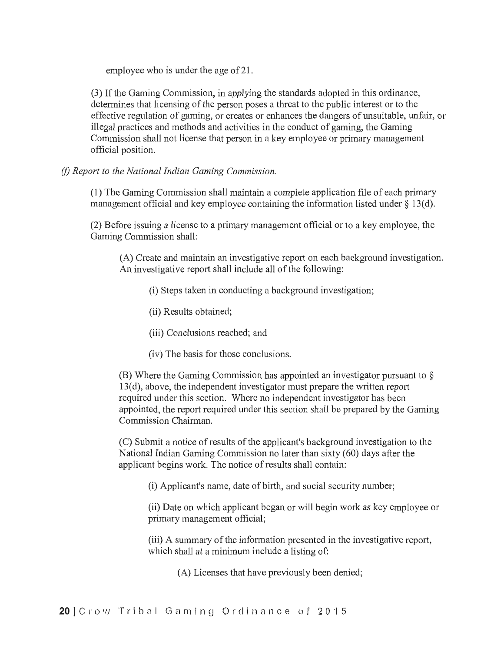employee who is under the age of 21.

(3) If the Gaming Commission, in applying the standards adopted in this ordinance, determines that licensing of the person poses a threat to the public interest or to the effective regulation of gaming, or creates or enhances the dangers of unsuitable, unfair, or illegal practices and methods and activities in the conduct of gaming, the Gaming Commission shall not license that person in a key employee or primary management official position.

*(/) Report to the National Indian Gaming Commission.* 

(1) The Gaming Commission shall maintain a complete application file of each primary management official and key employee containing the information listed under  $\S 13(d)$ .

 $(2)$  Before issuing a license to a primary management official or to a key employee, the Gaming Commission shall:

(A) Create and maintain an investigative report on each background investigation. An investigative report shall include all of the following:

- (i) Steps taken in conducting a background investigation;
- (ii) Results obtained;
- (iii) Conclusions reached; and
- (iv) The basis for those conclusions.

(B) Where the Gaming Commission has appointed an investigator pursuant to § 13(d), above, the independent investigator must prepare the written report required under this section. Where no independent investigator has been appointed, the report required under this section shall be prepared by the Gaming Commission Chairman.

(C) Submit a notice ofresults of the applicant's background investigation to the National Indian Gaming Commission no later than sixty (60) days after the applicant begins work. The notice of results shall contain:

(i) Applicant's name, date of birth, and social security number;

(ii) Date on which applicant began or will begin work as key employee or primary management official;

(iii) A summary of the information presented in the investigative report, which shall at a minimum include a listing of:

(A) Licenses that have previously been denied;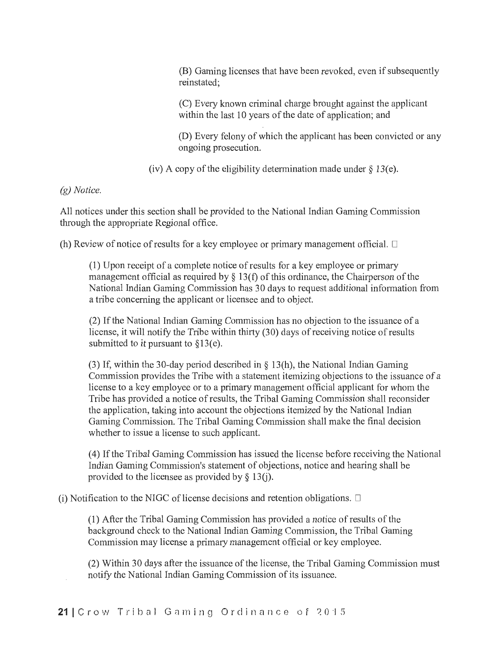(B) Gaming licenses that have been revoked, even if subsequently reinstated;

(C) Every known criminal charge brought against the applicant within the last 10 years of the date of application; and

(D) Every felony of which the applicant has been convicted or any ongoing prosecution.

(iv) A copy of the eligibility determination made under  $\S$  13(e).

*(g) Notice.* 

All notices under this section shall be provided to the National Indian Gaming Commission through the appropriate Regional office.

(h) Review of notice of results for a key employee or primary management official.  $\Box$ 

 $(1)$  Upon receipt of a complete notice of results for a key employee or primary management official as required by  $\S$  13(f) of this ordinance, the Chairperson of the National Indian Gaming Commission has 30 days to request additional information from a tribe concerning the applicant or licensee and to object.

(2) If the National Indian Gaming Commission has no objection to the issuance of a license, it will notify the Tribe within thirty (30) days of receiving notice of results submitted to it pursuant to §13(e).

(3) If, within the 30-day period described in § 13(h), the National Indian Gaming Commission provides the Tribe with a statement itemizing objections to the issuance of a license to a key employee or to a primary management official applicant for whom the Tribe has provided a notice of results, the Ttibal Gaming Commission shall reconsider the application, taking into account the objections itemized by the National Indian Gaming Commission. The Tribal Gaming Commission shall make the final decision whether to issue a license to such applicant.

(4) If the Tribal Gaming Commission has issued the license before receiving the National Indian Gaming Commission's statement of objections, notice and hearing shall be provided to the licensee as provided by  $\S$  13(j).

(i) Notification to the NIGC of license decisions and retention obligations.  $\Box$ 

(1) After the Ttibal Gaming Commission has provided a notice of results of the background check to the National Indian Gaming Commission, the Tribal Gaming Commission may license a primary management official or key employee.

(2) Within 30 days after the issuance of the license, the Tribal Gaming Commission must notify the National Indian Gaming Commission of its issuance.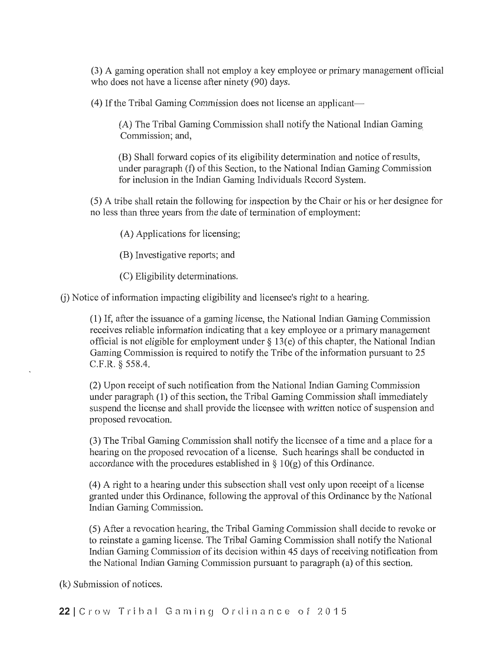(3) A gaming operation shall not employ a key employee or primary management official who does not have a license after ninety (90) days.

(4) If the Tribal Gaming Commission does not license an applicant-

(A) The Tribal Gaming Commission shall notify the National Indian Gaming Commission; and,

(B) Shall forward copies of its eligibility determination and notice of results, under paragraph (f) of this Section, to the National Indian Gaming Commission for inclusion in the Indian Gaming Individuals Record System.

(5) A tribe shall retain the following for inspection by the Chair or his or her designee for no less than three years from the date of termination of employment:

(A) Applications for licensing;

(B) Investigative reports; and

(C) Eligibility determinations.

(j) Notice of information impacting eligibility and licensee's right to a hearing.

(1) If, after the issuance of a gaming license, the National Indian Gaming Commission receives reliable information indicating that a key employee or a primary management official is not eligible for employment under§ 13(e) of this chapter, the National Indian Gaming Commission is required to notify the Tribe of the information pursuant to 25 C.F.R. § 558.4.

(2) Upon receipt of such notification from the National Indian Gaming Commission under paragraph (1) of this section, the Tribal Gaming Commission shall immediately suspend the license and shall provide the licensee with written notice of suspension and proposed revocation.

(3) The Tribal Gaming Commission shall notify the licensee of a time and a place for a hearing on the proposed revocation of a license. Such hearings shall be conducted in accordance with the procedures established in  $\S$  10(g) of this Ordinance.

( 4) A right to a hearing under this subsection shall vest only upon receipt of a license granted under this Ordinance, following the approval of this Ordinance by the National Indian Gaming Commission.

(5) After a revocation hearing, the Tribal Gaming Commission shall decide to revoke or to reinstate a gaming license. The Tribal Gaming Commission shall notify the National Indian Gaming Commission of its decision within 45 days of receiving notification from the National Indian Gaming Commission pursuant to paragraph (a) of this section.

(k) Submission of notices.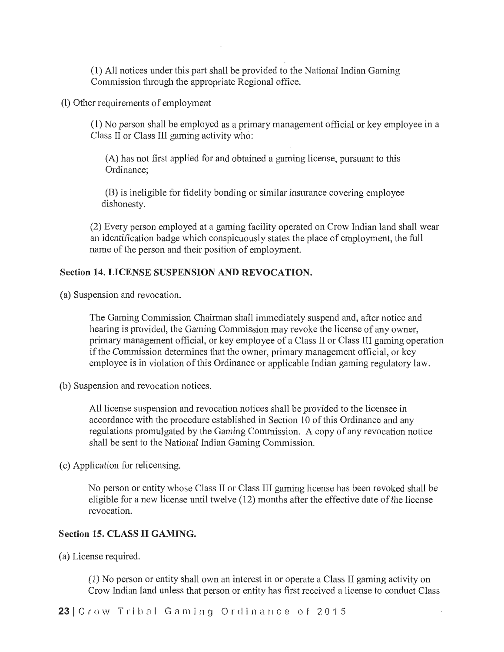(1) All notices under this part shall be provided to the National Indian Gaming Commission through the appropriate Regional office.

(I) Other requirements of employment

(1) No person shall be employed as a primary management official or key employee in a Class II or Class III gaming activity who:

(A) has not first applied for and obtained a gaming license, pursuant to this Ordinance;

(B) is ineligible for fidelity bonding or similar insurance covering employee dishonesty.

(2) Every person employed at a gaming facility operated on Crow Indian land shall wear an identification badge which conspicuously states the place of employment, the full name of the person and their position of employment.

# Section 14. LICENSE SUSPENSION AND REVOCATION.

(a) Suspension and revocation.

The Gaming Commission Chairman shall immediately suspend and, after notice and hearing is provided, the Gaming Commission may revoke the license of any owner, primary management official, or key employee of a Class II or Class III gaming operation if the Commission determines that the owner, primary management official, or key employee is in violation of this Ordinance or applicable Indian gaming regulatory law.

(b) Suspension and revocation notices.

All license suspension and revocation notices shall be provided to the licensee in accordance with the procedure established in Section 10 of this Ordinance and any regulations promulgated by the Gaming Commission. A copy of any revocation notice shall be sent to the National Indian Gaming Commission.

( c) Application for relicensing.

No person or entity whose Class II or Class III gaming license has been revoked shall be eligible for a new license until twelve (12) months after the effective date of the license revocation.

## Section 15. CLASS II GAMING.

(a) License required.

(1) No person or entity shall own an interest in or operate a Class II gaming activity on Crow Indian land unless that person or entity has first received a license to conduct Class

23 | Crow Tribal Gaming Ordinance of 2015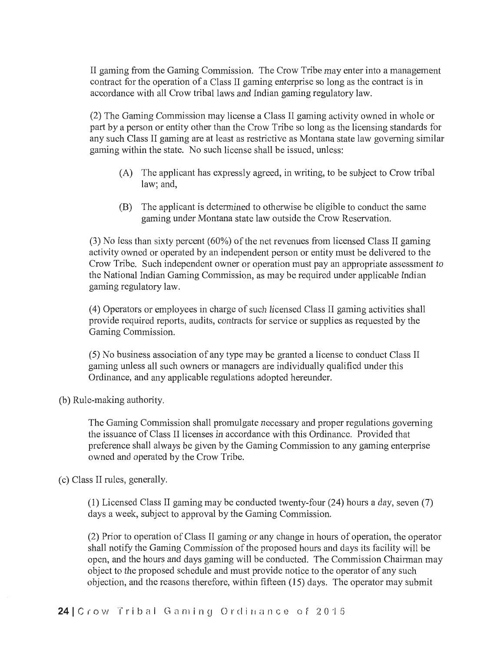II gaming from the Gaming Commission. The Crow Tribe may enter into a management contract for the operation of a Class II gaming enterprise so long as the contract is in accordance with all Crow tribal laws and Indian gaming regulatory law.

(2) The Gaming Commission may license a Class II gaming activity owned in whole or part by a person or entity other than the Crow Tribe so long as the licensing standards for any such Class II gaming are at least as restrictive as Montana state law governing similar gaming within the state. No such license shall be issued, unless:

- (A) The applicant has expressly agreed, in writing, to be subject to Crow tribal law; and,
- (B) The applicant is determined to otherwise be eligible to conduct the same gaming under Montana state law outside the Crow Reservation.

(3) No less than sixty percent (60%) of the net revenues from licensed Class II gaming activity owned or operated by an independent person or entity must be delivered to the Crow Tribe. Such independent owner or operation must pay an appropriate assessment to the National Indian Gaming Commission, as may be required under applicable Indian gaming regulatory law.

( 4) Operators or employees in charge of such licensed Class II gaming activities shall provide required reporis, audits, contracts for service or supplies as requested by the Gaming Commission.

(5) No business association of any type may be granted a license to conduct Class II gaming unless all such owners or managers are individually qualified under this Ordinance, and any applicable regulations adopted hereunder.

(b) Rule-making authority.

The Gaming Commission shall promulgate necessary and proper regulations governing the issuance of Class II licenses in accordance with this Ordinance. Provided that preference shall always be given by the Gaming Commission to any gaming enterprise owned and operated by the Crow Tribe.

( c) Class II rules, generally.

(1) Licensed Class II gaming may be conducted twenty-four (24) hours a day, seven (7) days a week, subject to approval by the Gaming Commission.

(2) Prior to operation of Class II gaming or any change in hours of operation, the operator shall notify the Gaming Commission of the proposed hours and days its facility will be open, and the hours and days gaming will be conducted. The Commission Chairman may object to the proposed schedule and must provide notice to the operator of any such objection, and the reasons therefore, within fifteen (15) days. The operator may submit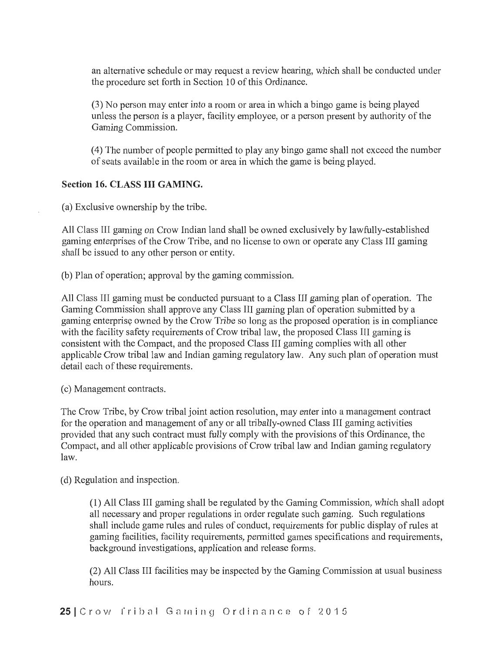an alternative schedule or may request a review hearing, which shall be conducted under the procedure set forth in Section 10 of this Ordinance.

(3) No person may enter into a room or area in which a bingo game is being played unless the person is a player, facility employee, or a person present by authority of the Gaming Commission.

(4) The number of people permitted to play any bingo game shall not exceed the number of seats available in the room or area in which the game is being played.

#### **Section 16. CLASS III GAMING.**

(a) Exclusive ownership by the tiibe.

All Class III gaming on Crow Indian land shall be owned exclusively by lawfully-established gaming enterprises of the Crow Tribe, and no license to own or operate any Class III gaming shall be issued to any other person or entity.

(b) Plan of operation; approval by the gaming commission.

All Class III gaming must be conducted pursuant to a Class III gaming plan of operation. The Gaming Commission shall approve any Class III gaming plan of operation submitted by a gaming enterprise owned by the Crow Tribe so long as the proposed operation is in compliance with the facility safety requirements of Crow tribal law, the proposed Class III gaming is consistent with the Compact, and the proposed Class III gaming complies with all other applicable Crow tribal law and Indian gaming regulatory law. Any such plan of operation must detail each of these requirements.

( c) Management contracts.

The Crow Tribe, by Crow tribal joint action resolution, may enter into a management contract for the operation and management of any or all tribally-owned Class III gaming activities provided that any such contract must fully comply with the provisions of this Ordinance, the Compact, and all other applicable provisions of Crow tribal law and Indian gaming regulatory law.

( d) Regulation and inspection.

(1) All Class III gaming shall be regulated by the Gaming Commission, which shall adopt all necessary and proper regulations in order regulate such gaming. Such regulations shall include game rules and rules of conduct, requirements for public display of rules at gaming facilities, facility requirements, permitted games specifications and requirements, background investigations, application and release forms.

(2) All Class III facilities may be inspected by the Gaming Commission at usual business hours.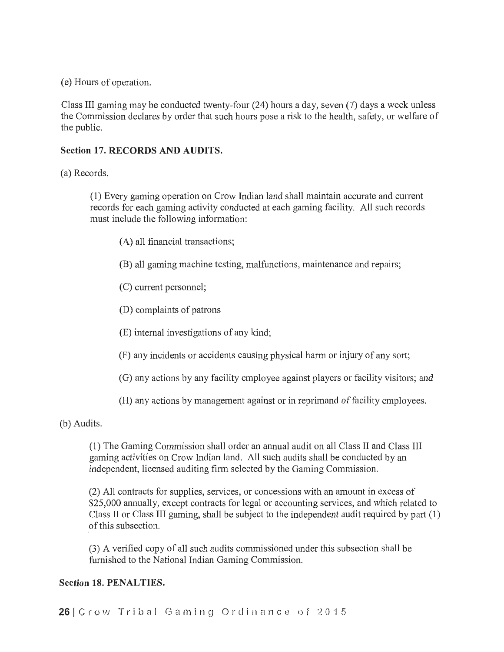( e) Hours of operation.

Class III gaming may be conducted twenty-four (24) hours a day, seven (7) days a week unless the Commission declares by order that such hours pose a risk to the health, safety, or welfare of the public.

# **Section 17. RECORDS AND AUDITS.**

(a) Records.

( **1)** Every gaming operation\_ on Crow Indian land shall maintain accurate and cun-ent records for each gaming activity conducted at each gaming facility. All such records must include the following information:

- (A) all financial transactions;
- (B) all gaming machine testing, malfunctions, maintenance and repairs;
- (C) current personnel:
- **(D)** complaints of patrons
- (E) internal investigations of any kind;
- (F) any incidents or accidents causing physical harm or injury of any sort;
- (G) any actions by any facility employee against players or facility visitors; and
- (H) any actions by management against or in reprimand of facility employees.

(b) Audits.

(1) The Gaming Commission shall order an annual audit on all Class II and Class III gaming activities on Crow Indian land. All such audits shall be conducted by an independent, licensed auditing firm selected by the Gaming Commission.

(2) All contracts for supplies, services, or concessions with an amount in excess of \$25,000 annually, except contracts for legal or accounting services, and which related to Class II or Class III gaming, shall be subject to the independent audit required by part **(1)**  of this subsection.

(3) A verified copy of all such audits commissioned under this subsection shall be furnished to the National Indian Gaming Commission.

## **Section 18. PENALTIES.**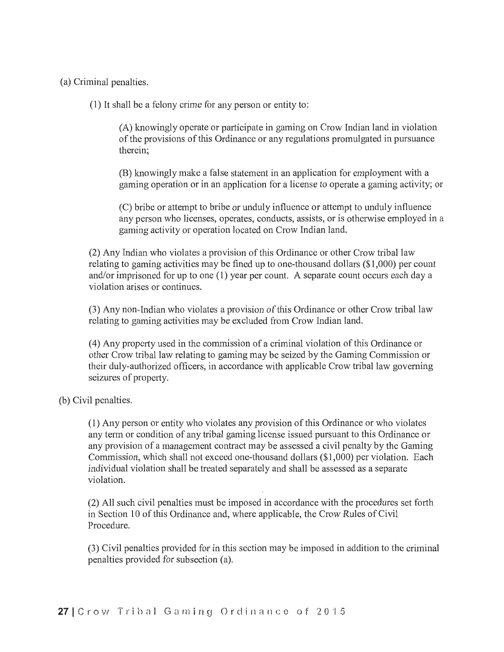(a) Criminal penalties.

(1) It shall be a felony crime for any person or entity to:

(A) knowingly operate or participate in gaming on Crow Indian land in violation of the provisions of this Ordinance or any regulations promulgated in pursuance therein;

(B) knowingly make a false statement in an application for employment with a gaming operation or in an application for a license to operate a gaming activity; or

(C) bribe or attempt to bribe or unduly influence or attempt to unduly influence any person who licenses, operates, conducts, assists, or is otherwise employed in a gaming activity or operation located on Crow Indian land.

(2) Any Indian who violates a provision of this Ordinance or other Crow ttibal law relating to gaming activities may be fined up to one-thousand dollars (\$1,000) per count and/or imprisoned for up to one  $(1)$  year per count. A separate count occurs each day a violation arises or continues.

(3) Any non-Indian who violates a provision of this Ordinance or other Crow tribal law relating to gaming activities may be excluded from Crow Indian land.

(4) Any property used in the commission of a criminal violation of this Ordinance or other Crow ttibal law relating to gaming may be seized by the Gaming Commission or their duly-authorized officers, in accordance with applicable Crow tribal law governing seizures of property.

(b) Civil penalties.

(1) Any person or entity who violates any provision of this Ordinance or who violates any term or condition of any tribal gaming license issued pursuant to this Ordinance or any provision of a management contract may be assessed a civil penalty by the Gaming Commission, which shall not exceed one-thousand dollars (\$1,000) per violation. Each individual violation shall be treated separately and shall be assessed as a separate violation.

(2) All such civil penalties must be imposed in accordance with the procedures set forth in Section 10 of this Ordinance and, where applicable, the Crow Rules of Civil Procedure.

(3) Civil penalties provided for in this section may be imposed in addition to the criminal penalties provided for subsection (a).